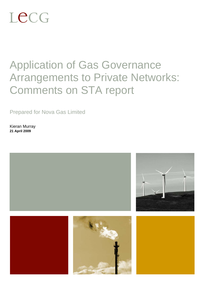# Lecg

## Application of Gas Governance Arrangements to Private Networks: Comments on STA report

Prepared for Nova Gas Limited

Kieran Murray **21 April 2009** 

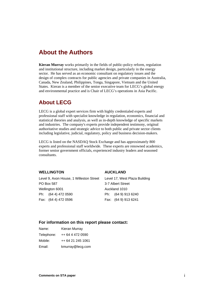## **About the Authors**

**Kieran Murray** works primarily in the fields of public-policy reform, regulation and institutional structure, including market design, particularly in the energy sector. He has served as an economic consultant on regulatory issues and the design of complex contracts for public agencies and private companies in Australia, Canada, New Zealand, Philippines, Tonga, Singapore, Vietnam and the United States. Kieran is a member of the senior executive team for LECG's global energy and environmental practice and is Chair of LECG's operations in Asia Pacific.

#### **About LECG**

LECG is a global expert services firm with highly credentialed experts and professional staff with specialist knowledge in regulation, economics, financial and statistical theories and analysis, as well as in-depth knowledge of specific markets and industries. The company's experts provide independent testimony, original authoritative studies and strategic advice to both public and private sector clients including legislative, judicial, regulatory, policy and business decision-makers.

LECG is listed on the NASDAQ Stock Exchange and has approximately 800 experts and professional staff worldwide. These experts are renowned academics, former senior government officials, experienced industry leaders and seasoned consultants.

#### **WELLINGTON**

#### **AUCKLAND**

Level 9, Axon House, 1 Willeston Street PO Box 587 Wellington 6001 Ph: (64 4) 472 0590 Fax: (64 4) 472 0596

Level 17, West Plaza Building 3-7 Albert Street Auckland 1010 Ph: (64 9) 913 6240 Fax: (64 9) 913 6241

#### **For information on this report please contact:**

| Name:      | Kieran Murray     |
|------------|-------------------|
| Telephone: | ++ 64 4 472 0590  |
| Mobile:    | ++ 64 21 245 1061 |
| Email:     | kmurray@lecg.com  |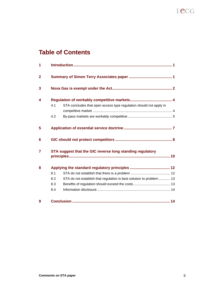## Lecg

## **Table of Contents**

| 1              |            |                                                                      |  |  |
|----------------|------------|----------------------------------------------------------------------|--|--|
| $\overline{2}$ |            |                                                                      |  |  |
| 3              |            |                                                                      |  |  |
| 4              | 4.1<br>4.2 | STA concludes that open access type regulation should not apply in   |  |  |
| 5              |            |                                                                      |  |  |
| 6              |            |                                                                      |  |  |
| 7              |            | STA suggest that the GIC reverse long standing regulatory            |  |  |
| 8              |            |                                                                      |  |  |
|                | 8.1        |                                                                      |  |  |
|                | 8.2        | STA do not establish that regulation is best solution to problem  13 |  |  |
|                | 8.3        |                                                                      |  |  |
|                | 8.4        |                                                                      |  |  |
| 9              |            |                                                                      |  |  |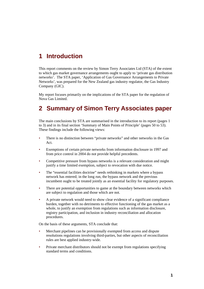## **1 Introduction**

This report comments on the review by Simon Terry Associates Ltd (STA) of the extent to which gas market governance arrangements ought to apply to 'private gas distribution networks'. The STA paper, 'Application of Gas Governance Arrangements to Private Networks', was prepared for the New Zealand gas industry regulator, the Gas Industry Company (GIC).

My report focuses primarily on the implications of the STA paper for the regulation of Nova Gas Limited.

## **2 Summary of Simon Terry Associates paper**

The main conclusions by STA are summarised in the introduction to its report (pages 1 to 3) and in its final section 'Summary of Main Points of Principle' (pages 50 to 53). These findings include the following views:

- There is no distinction between "private networks" and other networks in the Gas Act.
- Exemptions of certain private networks from information disclosure in 1997 and from price control in 2004 do not provide helpful precedents.
- Competitive pressure from bypass networks is a relevant consideration and might justify a time limited exemption, subject to revocation with due notice.
- The "essential facilities doctrine" needs rethinking in markets where a bypass network has entered; in the long run, the bypass network and the previous incumbent ought to be treated jointly as an essential facility for regulatory purposes.
- There are potential opportunities to game at the boundary between networks which are subject to regulation and those which are not.
- A private network would need to show clear evidence of a significant compliance burden, together with no detriments to effective functioning of the gas market as a whole, to justify an exemption from regulations such as information disclosure, registry participation, and inclusion in industry reconciliation and allocation procedures.

On the basis of these arguments, STA conclude that:

- Merchant pipelines can be provisionally exempted from access and dispute resolutions regulations involving third-parties, but other aspects of reconciliation rules are best applied industry-wide.
- Private merchant distributors should not be exempt from regulations specifying standard terms and conditions.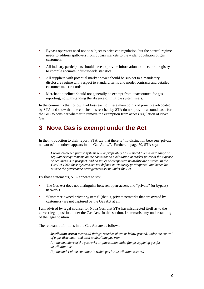- Bypass operators need not be subject to price cap regulation, but the control regime needs to address spillovers from bypass markets to the wider population of gas customers.
- All industry participants should have to provide information to the central registry to compile accurate industry-wide statistics.
- All suppliers with potential market power should be subject to a mandatory disclosure regime with respect to standard terms and model contracts and detailed customer meter records.
- Merchant pipelines should not generally be exempt from unaccounted for gas reporting, notwithstanding the absence of multiple system users.

In the comments that follow, I address each of these main points of principle advocated by STA and show that the conclusions reached by STA do not provide a sound basis for the GIC to consider whether to remove the exemption from access regulation of Nova Gas.

## **3 Nova Gas is exempt under the Act**

In the introduction to their report, STA say that there is "no distinction between 'private networks' and others appears in the Gas Act…". Further, at page 50, STA say:

*Customer-owned private systems will appropriately be exempted from a wide range of regulatory requirements on the basis that no exploitation of market power at the expense of acquirers is in prospect, and no issues of competitive neutrality are at stake. In the Gas Act 1992, these systems are not defined as "industry participants" and hence lie outside the governance arrangements set up under the Act.* 

By those statements, STA appears to say:

- The Gas Act does not distinguish between open-access and "private" (or bypass) networks.
- "Customer-owned private systems" (that is, private networks that are owned by customers) are not captured by the Gas Act at all.

I am advised by legal counsel for Nova Gas, that STA has misdirected itself as to the correct legal position under the Gas Act. In this section, I summarise my understanding of the legal position.

The relevant definitions in the Gas Act are as follows:

*distribution system means all fittings, whether above or below ground, under the control of a gas distributor and used to distribute gas from—*

*(a) the boundary of the gasworks or gate station outlet flange supplying gas for distribution; or* 

*(b) the outlet of the container in which gas for distribution is stored—*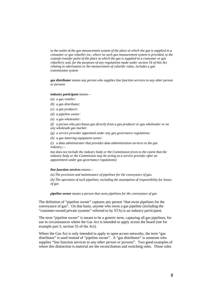*to the outlet of the gas measurement system of the place at which the gas is supplied to a consumer or gas refueller (or, where no such gas measurement system is provided, to the custody transfer point of the place at which the gas is supplied to a consumer or gas refueller); and, for the purposes of any regulations made under section 54 of this Act relating to odorisation or the measurement of calorific value, includes a gas transmission system* 

*gas distributor means any person who supplies line function services to any other person or persons* 

#### *industry participant means—*

- *(a) a gas retailer:*
- *(b) a gas distributor:*
- *(c) a gas producer:*
- *(d) a pipeline owner:*
- *(e) a gas wholesaler:*

*(f) a person who purchases gas directly from a gas producer or gas wholesaler or on any wholesale gas market:* 

*(g) a service provider appointed under any gas governance regulations:* 

*(h) a gas metering equipment owner:* 

*(i) a data administrator that provides data administration services to the gas industry,—* 

*but does not include the industry body or the Commission (even to the extent that the industry body or the Commission may be acting as a service provider after an appointment under gas governance regulations)* 

#### *line function services means—*

*(a) The provision and maintenance of pipelines for the conveyance of gas:* 

*(b) The operation of such pipelines, including the assumption of responsibility for losses of gas* 

*pipeline owner means a person that owns pipelines for the conveyance of gas* 

The definition of "pipeline owner" captures any person "that owns pipelines for the conveyance of gas". On that basis, anyone who owns a gas pipeline (including the "customer-owned private systems" referred to by STA) is an *industry participant.*

The term "pipeline owner" is meant to be a generic term, capturing all gas pipelines, for use in circumstances where the Gas Act is intended to apply across the board (see for example part 5, section 55 of the Act).

Where the Gas Act is only intended to apply to open-access networks, the term "gas distributor" is used instead of "pipeline owner". A "gas distributor" is someone who supplies "line function services *to any other person or persons*". Two good examples of where this distinction is material are the reconciliation and switching rules. Those rules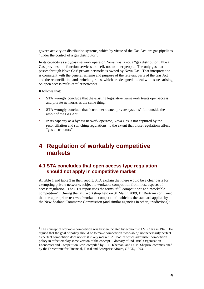govern activity on distribution systems, which by virtue of the Gas Act, are gas pipelines "under the control of a gas distributor".

In its capacity as a bypass network operator, Nova Gas is not a "gas distributor". Nova Gas provides line function services to itself, not to other people. The only gas that passes through Nova Gas' private networks is owned by Nova Gas. That interpretation is consistent with the general scheme and purpose of the relevant parts of the Gas Act and the reconciliation and switching rules, which are designed to deal with issues arising on open access/multi-retailer networks.

It follows that:

l

- STA wrongly conclude that the existing legislative framework treats open-access and private networks as the same thing.
- STA wrongly conclude that "customer-owned private systems" fall outside the ambit of the Gas Act.
- In its capacity as a bypass network operator, Nova Gas is not captured by the reconciliation and switching regulations, to the extent that those regulations affect "gas distributors".

## **4 Regulation of workably competitive markets**

#### **4.1 STA concludes that open access type regulation should not apply in competitive market**

At table 1 and table 3 in their report, STA explain that there would be a clear basis for exempting private networks subject to workable competition from most aspects of access regulation. The STA report uses the terms "full competition" and "workable competition". During the GIC workshop held on 31 March 2009, Dr Bertram confirmed that the appropriate test was 'workable competition', which is the standard applied by the New Zealand Commerce Commission (and similar agencies in other jurisdictions).<sup>1</sup>

 $1$  The concept of workable competition was first enunciated by economist J.M. Clark in 1940. He argued that the goal of policy should be to make competition "workable," not necessarily perfect as perfect competition does not exist in any market. All bodies which administer competition policy in effect employ some version of the concept. Glossary of Industrial Organisation Economics and Competition Law, compiled by R. S. Khemani and D. M. Shapiro, commissioned by the Directorate for Financial, Fiscal and Enterprise Affairs, OECD, 1993.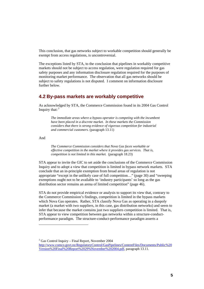This conclusion, that gas networks subject to workable competition should generally be exempt from access regulations, is uncontroversial.

The exceptions listed by STA, to the conclusion that pipelines in workably competitive markets should not be subject to access regulation, were regulation required for gas safety purposes and any information disclosure regulation required for the purposes of monitoring market performance. The observation that all gas networks should be subject to safety regulations is not disputed. I comment on information disclosure further below.

#### **4.2 By-pass markets are workably competitive**

As acknowledged by STA, the Commerce Commission found in its 2004 Gas Control Inquiry that:  $2^2$ 

*The immediate areas where a bypass operator is competing with the incumbent have been placed in a discrete market. In these markets the Commission considers that there is strong evidence of vigorous competition for industrial and commercial customers.* (paragraph 13.11)

And

l

*The Commerce Commission considers that Nova Gas faces workable or effective competition in the market where it provides gas services. That is, competition is not limited in this market.* (paragraph 18.23)

STA appear to invite the GIC to set aside the conclusions of the Commerce Commission Inquiry and to adopt a view that competition is limited in bypass network markets. STA conclude that an in-principle exemption from broad areas of regulation is not appropriate "except in the unlikely case of full competition…" (page 30) and "sweeping exemptions ought not to be available to 'industry participants' so long as the gas distribution sector remains an arena of limited competition" (page 46).

STA do not provide empirical evidence or analysis to support its view that, contrary to the Commerce Commission's findings, competition is limited in the bypass markets which Nova Gas operates. Rather, STA classify Nova Gas as operating in a duopoly market (a market with two suppliers, in this case, gas distribution networks) and seem to infer that because the market contains just two suppliers competition is limited. That is, STA appear to view competition between gas networks within a structure-conductperformance paradigm. The structure-conduct-performance paradigm asserts a

 $2^2$  Gas Control Inquiry – Final Report, November 2004

http://www.comco.govt.nz/RegulatoryControl/GasPipelines/ContentFiles/Documents/Public%20 Version%20Final%20Report%2029%November%202004.pdf, paragraph 13.11.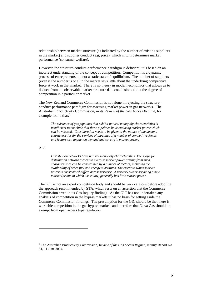relationship between market structure (as indicated by the number of existing suppliers in the market) and supplier conduct (e.g, price), which in turn determines market performance (consumer welfare).

However, the structure-conduct-performance paradigm is deficient; it is based on an incorrect understanding of the concept of competition. Competition is a dynamic process of entrepreneurship, not a static state of equilibrium. The number of suppliers (even if the number is one) in the market says little about the underlying competitive force at work in that market. There is no theory in modern economics that allows us to deduce from the observable market structure data conclusions about the degree of competition in a particular market.

The New Zealand Commerce Commission is not alone in rejecting the structureconduct-performance paradigm for assessing market power in gas networks. The Australian Productivity Commission, in its *Review of the Gas Access Regime*, for example found that:<sup>3</sup>

*The existence of gas pipelines that exhibit natural monopoly characteristics is insufficient to conclude that these pipelines have enduring market power which can be misused. Consideration needs to be given to the nature of the demand characteristics for the services of pipelines of a number of competitive forces and factors can impact on demand and constrain market power.* 

#### And

 $\overline{\phantom{a}}$ 

*Distribution networks have natural monopoly characteristics. The scope for distribution network owners to exercise market power arising from such characteristics can be constrained by a number of factors, including the availability of other fuel and energy substitutes. The extent to which market power is constrained differs across networks. A network owner servicing a new market (or one in which use is low) generally has little market power.*

The GIC is not an expert competition body and should be very cautious before adopting the approach recommended by STA, which rests on an assertion that the Commerce Commission erred in its Gas Inquiry findings. As the GIC has not undertaken any analysis of competition in the bypass markets it has no basis for setting aside the Commerce Commission findings. The presumption for the GIC should be that there is workable competition in the gas bypass markets and therefore that Nova Gas should be exempt from open access type regulation.

<sup>3</sup> The Australian Productivity Commission, *Review of the Gas Access Regime*, Inquiry Report No 31, 11 June 2004.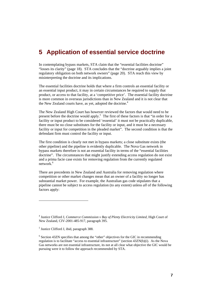## **5 Application of essential service doctrine**

In contemplating bypass markets, STA claim that the "essential facilities doctrine" "losses its clarity" (page 18). STA concludes that the "doctrine arguably implies a joint regulatory obligation on both network owners" (page 20). STA reach this view by misinterpreting the doctrine and its implications.

The essential facilities doctrine holds that where a firm controls an essential facility or an essential input product, it may in certain circumstances be required to supply that product, or access to that facility, at a 'competitive price'. The essential facility doctrine is more common in overseas jurisdictions than in New Zealand and it is not clear that the New Zealand courts have, as yet, adopted the doctrine.<sup>4</sup>

The New Zealand High Court has however reviewed the factors that would need to be present before the doctrine would apply.<sup>5</sup> The first of these factors is that "in order for a facility or input product to be considered 'essential' it must not be practically duplicable, there must be no close substitutes for the facility or input, and it must be a necessary facility or input for competition in the pleaded market". The second condition is that the defendant firm must control the facility or input.

The first condition is clearly not met in bypass markets; a close substitute exists (the other pipeline) and the pipeline is evidently duplicable. The Nova Gas network in bypass markets therefore is not an essential facility in terms of the "essential facilities doctrine". The circumstances that might justify extending access regulation do not exist and a prima facie case exists for removing regulation from the currently regulated network.<sup>6</sup>

There are precedents in New Zealand and Australia for removing regulation where competition or other market changes mean that an owner of a facility no longer has substantial market power. For example, the Australian gas code stipulates that a pipeline cannot be subject to access regulation (to any extent) unless *all* of the following factors apply:

l

<sup>&</sup>lt;sup>4</sup> Justice Clifford J, *Commerce Commission v Bay of Plenty Electricity Limited*, High Court of New Zealand, CIV-2001-485-917, paragraph 395.

<sup>&</sup>lt;sup>5</sup> Justice Clifford J, ibid, paragraph 388.

<sup>&</sup>lt;sup>6</sup> Section 43ZN specifies that among the "other" objectives for the GIC in recommending regulation is to facilitate "access to essential infrastructure" (section 43ZN(b)(i). As the Nova Gas networks are not essential infrastructure, its not at all clear what objective the GIC would be pursuing were it to follow the approach recommended by STA.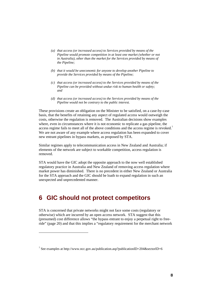- *(a) that access (or increased access) to Services provided by means of the Pipeline would promote competition in at least one market (whether or not in Australia), other than the market for the Services provided by means of the Pipeline;*
- *(b) that it would be uneconomic for anyone to develop another Pipeline to provide the Services provided by means of the Pipeline;*
- *(c) that access (or increased access) to the Services provided by means of the Pipeline can be provided without undue risk to human health or safety; and*
- *(d) that access (or increased access) to the Services provided by means of the Pipeline would not be contrary to the public interest.*

These provisions create an obligation on the Minister to be satisfied, on a case-by-case basis, that the benefits of retaining any aspect of regulated access would outweigh the costs, otherwise the regulation is removed. The Australian decisions show examples where, even in circumstances where it is not economic to replicate a gas pipeline, the access regime fails to meet all of the above conditions and the access regime is revoked.<sup>7</sup> We are not aware of any example where access regulation has been expanded to cover new entrant pipelines in bypass markets, as proposed by STA.

Similar regimes apply to telecommunication access in New Zealand and Australia; if elements of the network are subject to workable competition, access regulation is removed.

STA would have the GIC adopt the opposite approach to the now well established regulatory practice in Australia and New Zealand of removing access regulation where market power has diminished. There is no precedent in either New Zealand or Australia for the STA approach and the GIC should be loath to expand regulation in such an unexpected and unprecedented manner.

### **6 GIC should not protect competitors**

l

STA is concerned that private networks might not face some costs (regulatory or otherwise) which are incurred by an open access network. STA suggest that this (presumed) cost difference allows "the bypass entrant to enjoy a perpetual right to freeride" (page 20) and that this implies a "regulatory requirement for the merchant network

<sup>&</sup>lt;sup>7</sup> See examples at http://www.ncc.gov.au/publication.asp?publicationID=204&sectorID=6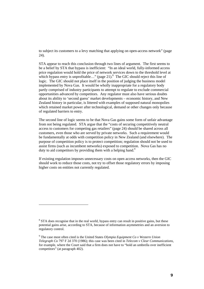to subject its customers to a levy matching that applying on open-access network" (page 24).

STA appear to reach this conclusion through two lines of argument. The first seems to be a belief by STA that bypass is inefficient: "In an ideal world, fully-informed access price regulation would hold the price of network services down to the threshold level at which bypass entry is unprofitable..." (page 21). $8$  The GIC should reject this line of logic. The GIC should not place itself in the position of judging the business model implemented by Nova Gas. It would be wholly inappropriate for a regulatory body partly comprised of industry participants to attempt to regulate to exclude commercial opportunities advanced by competitors. Any regulator must also have serious doubts about its ability to 'second guess' market developments – economic history, and New Zealand history in particular, is littered with examples of supposed natural monopolies which retained market power after technological, demand or other changes only because of regulated barriers to entry.

The second line of logic seems to be that Nova Gas gains some form of unfair advantage from not being regulated. STA argue that the "costs of securing competitively neutral access to customers for competing gas retailers" (page 24) should be shared across all customers, even those who are served by private networks. Such a requirement would be fundamentally at odds with competition policy in New Zealand (and elsewhere). The purpose of competition policy is to protect competition; regulation should not be used to assist firms (such as incumbent networks) exposed to competition. Nova Gas has no duty to aid competitors by providing them with a helping hand.<sup>9</sup>

If existing regulation imposes unnecessary costs on open access networks, then the GIC should work to reduce those costs, not try to offset those regulatory errors by imposing higher costs on entities not currently regulated.

l

<sup>&</sup>lt;sup>8</sup> STA does recognise that in the real world, bypass entry can result in positive gains, but these potential gains arise, according to STA, because of information asymmetries and an aversion to regulatory control.

<sup>9</sup> The case most often cited is the United States *Olympia Equipment Co v Western Union Telegraph Co* 797 F 2d 370 (1986); this case was been cited in *Telecom v Clear Communications,*  for example, where the Court said that a firm does not have to "hold an umbrella over inefficient competitors" (at paragraph 402).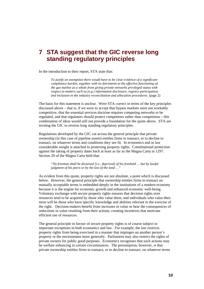## **7 STA suggest that the GIC reverse long standing regulatory principles**

In the introduction to their report, STA state that:

*To justify an exemption there would have to be clear evidence of a significant compliance burden, together with no detriments to the effective functioning of the gas market as a whole from giving private networks privileged status with respect to matters such as (e.g.) information disclosure, registry participation, and inclusion in the industry reconciliation and allocation procedures.* (page 2)

The basis for this statement is unclear. Were STA correct in terms of the key principles discussed above – that is, if we were to accept that bypass markets were not workably competitive, that the essential services doctrine requires competing networks to be regulated, and that regulators should protect competitors rather than competition – this combination of ideas would still not provide a foundation for the quote above. STA are inviting the GIC to reverse long standing regulatory principles.

Regulations developed by the GIC cut across the general principle that private ownership (in this case of pipeline assets) entitles firms to transact, or to decline to transact, on whatever terms and conditions they see fit. In economics and in law considerable weight is attached to protecting property rights. Constitutional protection against the taking of property dates back at least as far as the Magna Carta in 1297. Section 29 of the Magna Carta held that:

*"No freeman shall be disseised [i.e., deprived] of his freehold … but by lawful judgment of his peers or by the law of the land …"* 

As evident from this quote, property rights are not absolute, a point which is discussed below. However, the general principle that ownership entitles firms to transact on mutually acceptable terms is embedded deeply in the institutions of a modern economy because it is the engine for economic growth and enhanced economic well-being. Voluntary exchange with secure property rights ensures that decision rights over resources tend to be acquired by those who value them, and individuals who value then most will be those who have specific knowledge and abilities relevant to the exercise of the right. Decision-makers benefit from increases in value or bear the consequences of reductions in value resulting from their actions, creating incentives that motivate efficient use of resources.

The general principle in favour of secure property rights is of course subject to important exceptions in both economics and law. For example, the law restricts property rights from being exercised in a manner that impinges on another person's property or the environment more generally. Parliament may also restrict the rights of private owners for public good purposes. Economics recognises that such actions may be welfare enhancing in certain circumstances. The presumption, however, is that private ownership entitles firms to transact, or to decline to transact, on whatever terms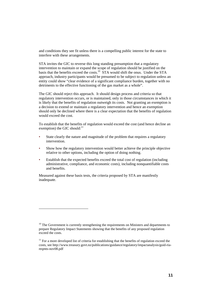and conditions they see fit unless there is a compelling public interest for the state to interfere with these arrangements.

STA invites the GIC to reverse this long standing presumption that a regulatory intervention to maintain or expand the scope of regulation should be justified on the basis that the benefits exceed the costs.<sup>10</sup>  $\overline{STA}$  would shift the onus. Under the STA approach, industry participants would be presumed to be subject to regulation unless an entity could show "clear evidence of a significant compliance burden, together with no detriments to the effective functioning of the gas market as a whole".

The GIC should reject this approach. It should design process and criteria so that regulatory intervention occurs, or is maintained, only in those circumstances in which it is likely that the benefits of regulation outweigh its costs. Not granting an exemption is a decision to extend or maintain a regulatory intervention and hence an exemption should only be declined where there is a clear expectation that the benefits of regulation would exceed the cost.

To establish that the benefits of regulation would exceed the cost (and hence decline an exemption) the GIC should: $^{11}$ 

- State clearly the nature and magnitude of the problem that requires a regulatory intervention.
- Show how the regulatory intervention would better achieve the principle objective relative to other options, including the option of doing nothing.
- Establish that the expected benefits exceed the total cost of regulation (including administrative, compliance, and economic costs), including nonquantifiable costs and benefits.

Measured against these basis tests, the criteria proposed by STA are manifestly inadequate.

l

 $10$  The Government is currently strengthening the requirements on Ministers and departments to prepare Regulatory Impact Statements showing that the benefits of any proposed regulation exceed the costs.

 $11$  For a more developed list of criteria for establishing that the benefits of regulation exceed the costs, see http://www.treasury.govt.nz/publications/guidance/regulatory/impactanalysis/guid-riareqmts-nov08.pdf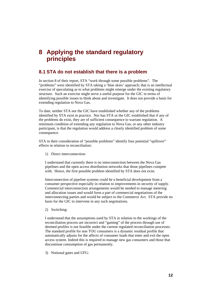## **8 Applying the standard regulatory principles**

#### **8.1 STA do not establish that there is a problem**

In section 8 of their report, STA "work through some possible problems". The "problems" were identified by STA taking a 'blue skies' approach; that is an intellectual exercise of speculating as to what problems might emerge under the existing regulatory structure. Such an exercise might serve a useful purpose for the GIC in terms of identifying possible issues to think about and investigate. It does not provide a basis for extending regulation to Nova Gas.

To date, neither STA nor the GIC have established whether any of the problems identified by STA exist in practice. Nor has STA or the GIC established that if any of the problems do exist, they are of sufficient consequence to warrant regulation. A minimum condition of extending any regulation to Nova Gas, or any other industry participant, is that the regulation would address a clearly identified problem of some consequence.

STA in their consideration of "possible problems" identify four potential "spillover" effects in relation to reconciliation:

1) Direct interconnection:

I understand that currently there is no interconnection between the Nova Gas pipelines and the open access distribution networks that those pipelines compete with. Hence, the first possible problem identified by STA does not exist.

Interconnection of pipeline systems could be a beneficial development from a consumer perspective especially in relation to improvements in security of supply. Commercial interconnection arrangements would be needed to manage metering and allocation issues and would form a part of commercial negotiations of the interconnecting parties and would be subject to the Commerce Act. STA provide no basis for the GIC to intervene in any such negotiations.

2) Switching:

I understand that the assumptions used by STA in relation to the workings of the reconciliation process are incorrect and "gaming" of the process through use of deemed profiles is not feasible under the current regulated reconciliation processes. The standard profile for non TOU consumers is a dynamic residual profile that automatically adjusts for the affects of consumer loads that enter and exit the open access system. Indeed this is required to manage new gas consumers and those that discontinue consumption of gas permanently.

3) Notional gates and UFG: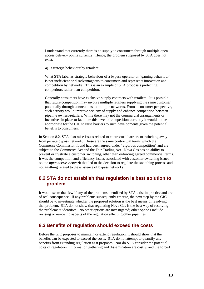I understand that currently there is no supply to consumers through multiple open access delivery points currently. Hence, the problem supposed by STA does not exist.

4) Strategic behaviour by retailers:

What STA label as strategic behaviour of a bypass operator or "gaming behaviour" is not inefficient or disadvantageous to consumers and represents innovation and competition by networks. This is an example of STA proposals protecting competitors rather than competition.

Generally consumers have exclusive supply contracts with retailers. It is possible that future competition may involve multiple retailers supplying the same customer, potentially through connections to multiple networks. From a consumer perspective, such activity would improve security of supply and enhance competition between pipeline owners/retailers. While there may not the commercial arrangements or incentives in place to facilitate this level of competition currently it would not be appropriate for the GIC to raise barriers to such developments given the potential benefits to consumers.

In Section 8.2, STA also raise issues related to contractual barriers to switching away from private bypass network. These are the same contractual terms which the Commerce Commission found had been agreed under "vigorous competition" and are subject to the Commerce Act and the Fair Trading Act. Nova Gas has no ability to prevent or frustrate a customer switching, other than enforcing agreed commercial terms. It was the competition and efficiency issues associated with customer switching issues on the *open access network* that led to the decision to regulate the switching process and not anything related to the existence of bypass networks.

#### **8.2 STA do not establish that regulation is best solution to problem**

It would seem that few if any of the problems identified by STA exist in practice and are of real consequence. If any problems subsequently emerge, the next step by the GIC should be to investigate whether the proposed solution is the best means of resolving that problem. STA do not show that regulating Nova Gas is the best way of resolving the problems it identifies. No other options are investigated; other options include revising or removing aspects of the regulation affecting other pipelines.

#### **8.3 Benefits of regulation should exceed the costs**

Before the GIC proposes to maintain or extend regulation, it should show that the benefits can be expected to exceed the costs. STA do not attempt to quantify any benefits from extending regulation as it proposes. Nor do STA consider the potential costs of regulation: information gathering and dissemination are costly; and the forced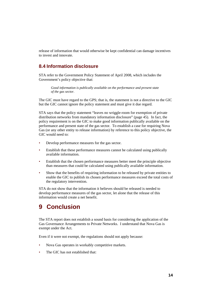release of information that would otherwise be kept confidential can damage incentives to invest and innovate.

#### **8.4 Information disclosure**

STA refer to the Government Policy Statement of April 2008, which includes the Government's policy objective that:

*Good information is publically available on the performance and present state of the gas sector.* 

The GIC must have regard to the GPS; that is, the statement is not a directive to the GIC but the GIC cannot ignore the policy statement and must give it due regard.

STA says that the policy statement "leaves no wriggle-room for exemption of private distribution networks from mandatory information disclosure" (page 45). In fact, the policy requirement is on the GIC to make good information publically available on the performance and present state of the gas sector. To establish a case for requiring Nova Gas (or any other entity to release information) by reference to this policy objective, the GIC would need to:

- Develop performance measures for the gas sector.
- Establish that these performance measures cannot be calculated using publically available information.
- Establish that the chosen performance measures better meet the principle objective than measures that could be calculated using publically available information.
- Show that the benefits of requiring information to be released by private entities to enable the GIC to publish its chosen performance measures exceed the total costs of the regulatory intervention.

STA do not show that the information it believes should be released is needed to develop performance measures of the gas sector, let alone that the release of this information would create a net benefit.

## **9 Conclusion**

The STA report does not establish a sound basis for considering the application of the Gas Governance Arrangements to Private Networks. I understand that Nova Gas is exempt under the Act.

Even if it were not exempt, the regulations should not apply because:

- Nova Gas operates in workably competitive markets.
- The GIC has not established that: